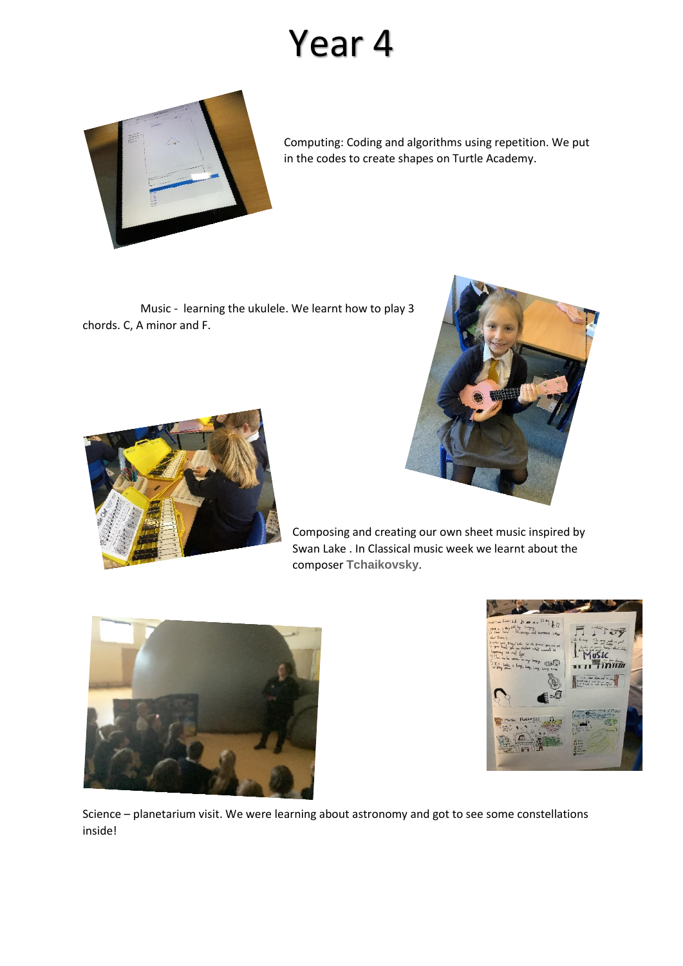## Year 4



Computing: Coding and algorithms using repetition. We put in the codes to create shapes on Turtle Academy.

Music - learning the ukulele. We learnt how to play 3 chords. C, A minor and F.





Composing and creating our own sheet music inspired by Swan Lake . In Classical music week we learnt about the composer **Tchaikovsky**.





Science – planetarium visit. We were learning about astronomy and got to see some constellations inside!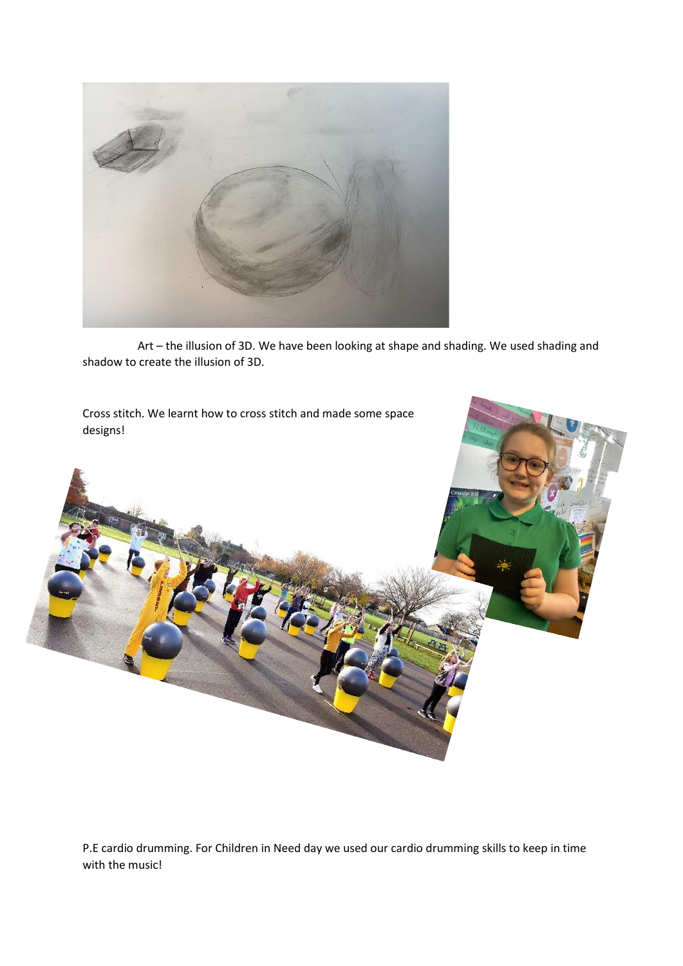

Art – the illusion of 3D. We have been looking at shape and shading. We used shading and shadow to create the illusion of 3D.

Cross stitch. We learnt how to cross stitch and made some space designs!



P.E cardio drumming. For Children in Need day we used our cardio drumming skills to keep in time with the music!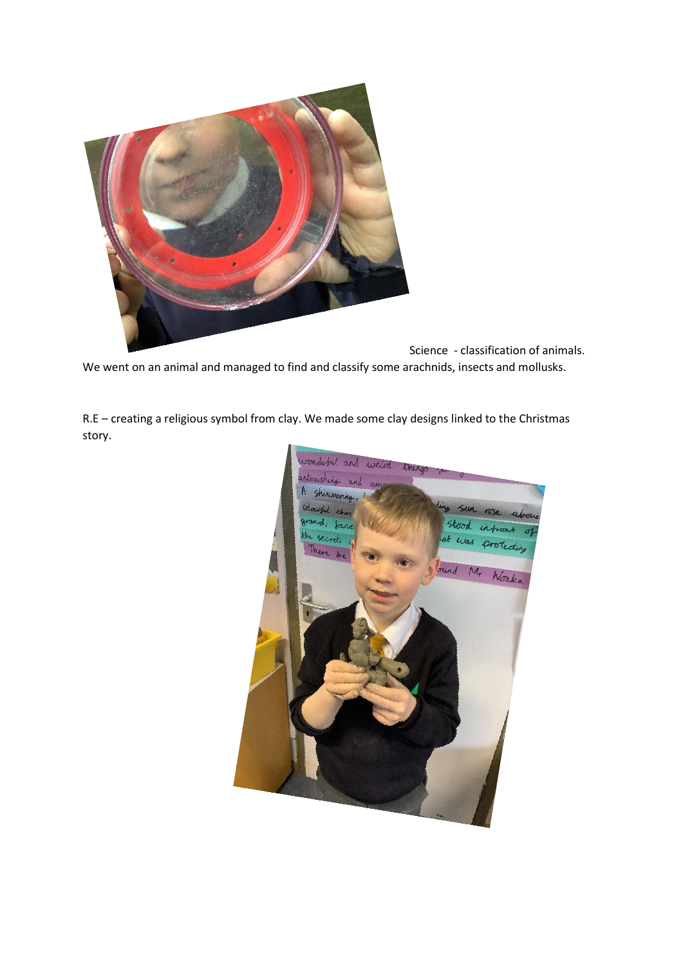

Science - classification of animals. We went on an animal and managed to find and classify some arachnids, insects and mollusks.

R.E – creating a religious symbol from clay. We made some clay designs linked to the Christmas story.